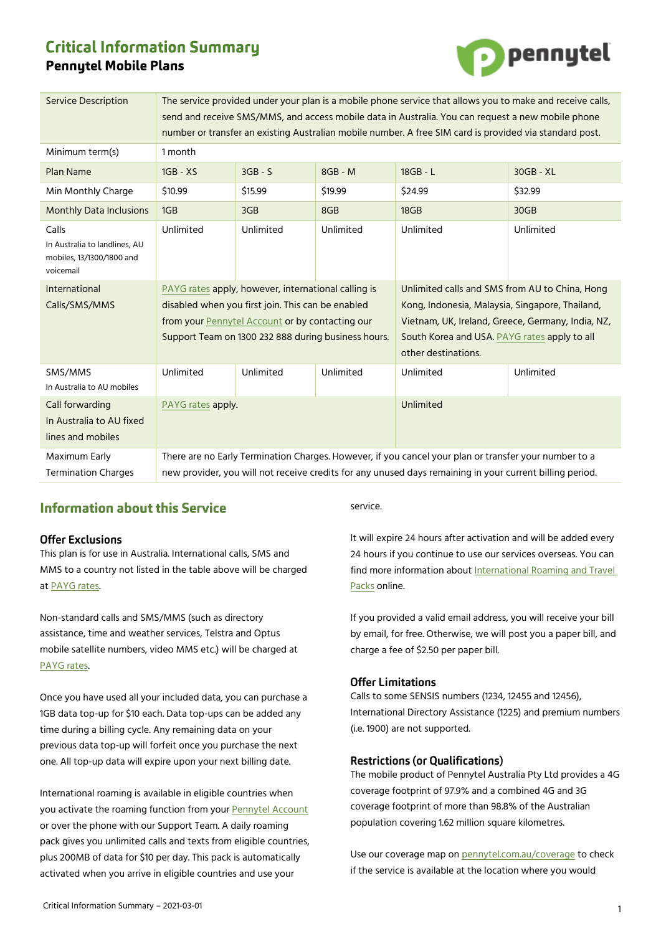# **Critical Information Summary Pennytel Mobile Plans**



| <b>Service Description</b>                                                       | The service provided under your plan is a mobile phone service that allows you to make and receive calls,<br>send and receive SMS/MMS, and access mobile data in Australia. You can request a new mobile phone<br>number or transfer an existing Australian mobile number. A free SIM card is provided via standard post. |           |           |                                                                                                                                                                                                                               |           |
|----------------------------------------------------------------------------------|---------------------------------------------------------------------------------------------------------------------------------------------------------------------------------------------------------------------------------------------------------------------------------------------------------------------------|-----------|-----------|-------------------------------------------------------------------------------------------------------------------------------------------------------------------------------------------------------------------------------|-----------|
| Minimum term(s)                                                                  | 1 month                                                                                                                                                                                                                                                                                                                   |           |           |                                                                                                                                                                                                                               |           |
| <b>Plan Name</b>                                                                 | $1GB - XS$                                                                                                                                                                                                                                                                                                                | $3GB - S$ | $8GB - M$ | 18GB - L                                                                                                                                                                                                                      | 30GB - XL |
| Min Monthly Charge                                                               | \$10.99                                                                                                                                                                                                                                                                                                                   | \$15.99   | \$19.99   | \$24.99                                                                                                                                                                                                                       | \$32.99   |
| <b>Monthly Data Inclusions</b>                                                   | 1GB                                                                                                                                                                                                                                                                                                                       | 3GB       | 8GB       | 18GB                                                                                                                                                                                                                          | 30GB      |
| Calls<br>In Australia to landlines, AU<br>mobiles, 13/1300/1800 and<br>voicemail | Unlimited                                                                                                                                                                                                                                                                                                                 | Unlimited | Unlimited | Unlimited                                                                                                                                                                                                                     | Unlimited |
| <b>International</b><br>Calls/SMS/MMS                                            | PAYG rates apply, however, international calling is<br>disabled when you first join. This can be enabled<br>from your Pennytel Account or by contacting our<br>Support Team on 1300 232 888 during business hours.                                                                                                        |           |           | Unlimited calls and SMS from AU to China, Hong<br>Kong, Indonesia, Malaysia, Singapore, Thailand,<br>Vietnam, UK, Ireland, Greece, Germany, India, NZ,<br>South Korea and USA. PAYG rates apply to all<br>other destinations. |           |
| SMS/MMS<br>In Australia to AU mobiles                                            | Unlimited                                                                                                                                                                                                                                                                                                                 | Unlimited | Unlimited | Unlimited                                                                                                                                                                                                                     | Unlimited |
| Call forwarding<br>In Australia to AU fixed<br>lines and mobiles                 | PAYG rates apply.                                                                                                                                                                                                                                                                                                         |           |           | Unlimited                                                                                                                                                                                                                     |           |
| Maximum Early<br><b>Termination Charges</b>                                      | There are no Early Termination Charges. However, if you cancel your plan or transfer your number to a<br>new provider, you will not receive credits for any unused days remaining in your current billing period.                                                                                                         |           |           |                                                                                                                                                                                                                               |           |

# **Information about this Service**

# **Offer Exclusions**

This plan is for use in Australia. International calls, SMS and MMS to a country not listed in the table above will be charged at [PAYG rates.](https://mnf.app.box.com/v/pt-payg-rates) 

Non-standard calls and SMS/MMS (such as directory assistance, time and weather services, Telstra and Optus mobile satellite numbers, video MMS etc.) will be charged at [PAYG rates.](https://mnf.box.com/v/pt-payg-rates) 

Once you have used all your included data, you can purchase a 1GB data top-up for \$10 each. Data top-ups can be added any time during a billing cycle. Any remaining data on your previous data top-up will forfeit once you purchase the next one. All top-up data will expire upon your next billing date.

International roaming is available in eligible countries when you activate the roaming function from your [Pennytel Account](https://account.pennytel.com.au/my-services) or over the phone with our Support Team. A daily roaming pack gives you unlimited calls and texts from eligible countries, plus 200MB of data for \$10 per day. This pack is automatically activated when you arrive in eligible countries and use your

service.

It will expire 24 hours after activation and will be added every 24 hours if you continue to use our services overseas. You can find more information abou[t International Roaming and Travel](https://mnf.box.com/v/pt-roaming-pack)  [Packs](https://mnf.box.com/v/pt-roaming-pack) online.

If you provided a valid email address, you will receive your bill by email, for free. Otherwise, we will post you a paper bill, and charge a fee of \$2.50 per paper bill.

# **Offer Limitations**

Calls to some SENSIS numbers (1234, 12455 and 12456), International Directory Assistance (1225) and premium numbers (i.e. 1900) are not supported.

### **Restrictions (or Qualifications)**

The mobile product of Pennytel Australia Pty Ltd provides a 4G coverage footprint of 97.9% and a combined 4G and 3G coverage footprint of more than 98.8% of the Australian population covering 1.62 million square kilometres.

Use our coverage map on [pennytel.com.au/coverage](https://pennytel.com.au/coverage) to check if the service is available at the location where you would